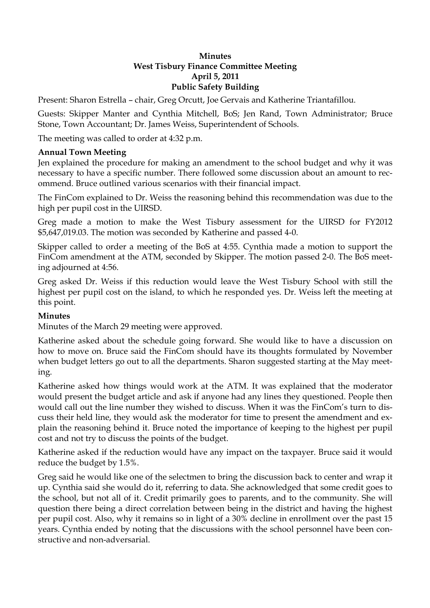## **Minutes West Tisbury Finance Committee Meeting April 5, 2011 Public Safety Building**

Present: Sharon Estrella – chair, Greg Orcutt, Joe Gervais and Katherine Triantafillou.

Guests: Skipper Manter and Cynthia Mitchell, BoS; Jen Rand, Town Administrator; Bruce Stone, Town Accountant; Dr. James Weiss, Superintendent of Schools.

The meeting was called to order at 4:32 p.m.

## **Annual Town Meeting**

Jen explained the procedure for making an amendment to the school budget and why it was necessary to have a specific number. There followed some discussion about an amount to recommend. Bruce outlined various scenarios with their financial impact.

The FinCom explained to Dr. Weiss the reasoning behind this recommendation was due to the high per pupil cost in the UIRSD.

Greg made a motion to make the West Tisbury assessment for the UIRSD for FY2012 \$5,647,019.03. The motion was seconded by Katherine and passed 4-0.

Skipper called to order a meeting of the BoS at 4:55. Cynthia made a motion to support the FinCom amendment at the ATM, seconded by Skipper. The motion passed 2-0. The BoS meeting adjourned at 4:56.

Greg asked Dr. Weiss if this reduction would leave the West Tisbury School with still the highest per pupil cost on the island, to which he responded yes. Dr. Weiss left the meeting at this point.

## **Minutes**

Minutes of the March 29 meeting were approved.

Katherine asked about the schedule going forward. She would like to have a discussion on how to move on. Bruce said the FinCom should have its thoughts formulated by November when budget letters go out to all the departments. Sharon suggested starting at the May meeting.

Katherine asked how things would work at the ATM. It was explained that the moderator would present the budget article and ask if anyone had any lines they questioned. People then would call out the line number they wished to discuss. When it was the FinCom's turn to discuss their held line, they would ask the moderator for time to present the amendment and explain the reasoning behind it. Bruce noted the importance of keeping to the highest per pupil cost and not try to discuss the points of the budget.

Katherine asked if the reduction would have any impact on the taxpayer. Bruce said it would reduce the budget by 1.5%.

Greg said he would like one of the selectmen to bring the discussion back to center and wrap it up. Cynthia said she would do it, referring to data. She acknowledged that some credit goes to the school, but not all of it. Credit primarily goes to parents, and to the community. She will question there being a direct correlation between being in the district and having the highest per pupil cost. Also, why it remains so in light of a 30% decline in enrollment over the past 15 years. Cynthia ended by noting that the discussions with the school personnel have been constructive and non-adversarial.